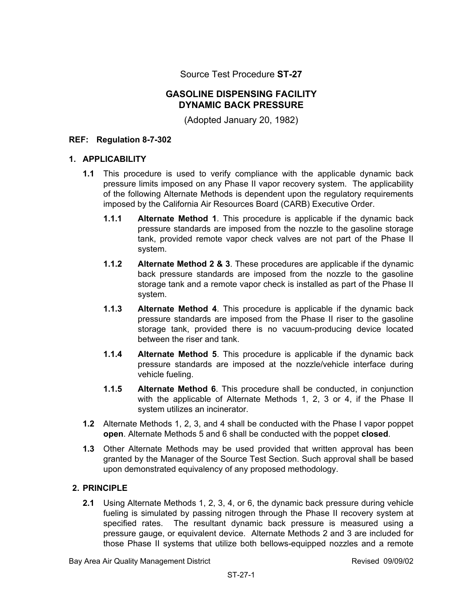Source Test Procedure **ST-27** 

### **GASOLINE DISPENSING FACILITY DYNAMIC BACK PRESSURE**

(Adopted January 20, 1982)

#### **REF: Regulation 8-7-302**

#### **1. APPLICABILITY**

- **1.1** This procedure is used to verify compliance with the applicable dynamic back pressure limits imposed on any Phase II vapor recovery system. The applicability of the following Alternate Methods is dependent upon the regulatory requirements imposed by the California Air Resources Board (CARB) Executive Order.
	- **1.1.1 Alternate Method 1**. This procedure is applicable if the dynamic back pressure standards are imposed from the nozzle to the gasoline storage tank, provided remote vapor check valves are not part of the Phase II system.
	- **1.1.2 Alternate Method 2 & 3**. These procedures are applicable if the dynamic back pressure standards are imposed from the nozzle to the gasoline storage tank and a remote vapor check is installed as part of the Phase II system.
	- **1.1.3 Alternate Method 4**. This procedure is applicable if the dynamic back pressure standards are imposed from the Phase II riser to the gasoline storage tank, provided there is no vacuum-producing device located between the riser and tank.
	- **1.1.4 Alternate Method 5**. This procedure is applicable if the dynamic back pressure standards are imposed at the nozzle/vehicle interface during vehicle fueling.
	- **1.1.5 Alternate Method 6**. This procedure shall be conducted, in conjunction with the applicable of Alternate Methods 1, 2, 3 or 4, if the Phase II system utilizes an incinerator.
- **1.2** Alternate Methods 1, 2, 3, and 4 shall be conducted with the Phase I vapor poppet **open**. Alternate Methods 5 and 6 shall be conducted with the poppet **closed**.
- **1.3** Other Alternate Methods may be used provided that written approval has been granted by the Manager of the Source Test Section. Such approval shall be based upon demonstrated equivalency of any proposed methodology.

#### **2. PRINCIPLE**

**2.1** Using Alternate Methods 1, 2, 3, 4, or 6, the dynamic back pressure during vehicle fueling is simulated by passing nitrogen through the Phase II recovery system at specified rates. The resultant dynamic back pressure is measured using a pressure gauge, or equivalent device. Alternate Methods 2 and 3 are included for those Phase II systems that utilize both bellows-equipped nozzles and a remote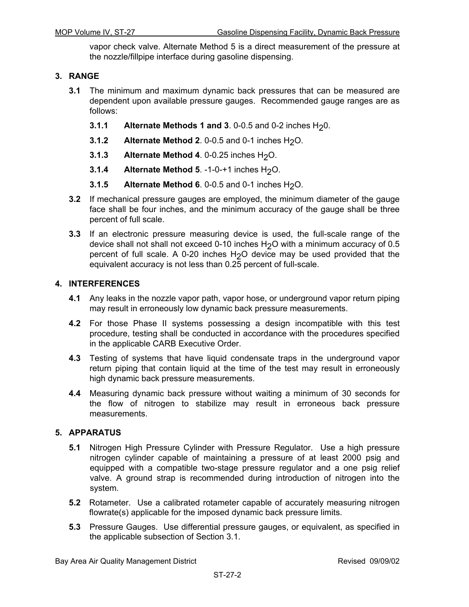vapor check valve. Alternate Method 5 is a direct measurement of the pressure at the nozzle/fillpipe interface during gasoline dispensing.

#### **3. RANGE**

- **3.1** The minimum and maximum dynamic back pressures that can be measured are dependent upon available pressure gauges. Recommended gauge ranges are as follows:
	- **3.1.1 Alternate Methods 1 and 3**. 0-0.5 and 0-2 inches H<sub>2</sub>0.
	- **3.1.2** Alternate Method 2. 0-0.5 and 0-1 inches  $H_2O$ .
	- **3.1.3** Alternate Method 4. 0-0.25 inches H<sub>2</sub>O.
	- **3.1.4** Alternate Method 5. -1-0-+1 inches H<sub>2</sub>O.
	- **3.1.5** Alternate Method 6. 0-0.5 and 0-1 inches H<sub>2</sub>O.
- **3.2** If mechanical pressure gauges are employed, the minimum diameter of the gauge face shall be four inches, and the minimum accuracy of the gauge shall be three percent of full scale.
- **3.3** If an electronic pressure measuring device is used, the full-scale range of the device shall not shall not exceed 0-10 inches H<sub>2</sub>O with a minimum accuracy of 0.5 percent of full scale. A 0-20 inches  $H_2O$  device may be used provided that the equivalent accuracy is not less than 0.25 percent of full-scale.

#### **4. INTERFERENCES**

- **4.1** Any leaks in the nozzle vapor path, vapor hose, or underground vapor return piping may result in erroneously low dynamic back pressure measurements.
- **4.2** For those Phase II systems possessing a design incompatible with this test procedure, testing shall be conducted in accordance with the procedures specified in the applicable CARB Executive Order.
- **4.3** Testing of systems that have liquid condensate traps in the underground vapor return piping that contain liquid at the time of the test may result in erroneously high dynamic back pressure measurements.
- **4.4** Measuring dynamic back pressure without waiting a minimum of 30 seconds for the flow of nitrogen to stabilize may result in erroneous back pressure measurements.

#### **5. APPARATUS**

- **5.1** Nitrogen High Pressure Cylinder with Pressure Regulator. Use a high pressure nitrogen cylinder capable of maintaining a pressure of at least 2000 psig and equipped with a compatible two-stage pressure regulator and a one psig relief valve. A ground strap is recommended during introduction of nitrogen into the system.
- **5.2** Rotameter. Use a calibrated rotameter capable of accurately measuring nitrogen flowrate(s) applicable for the imposed dynamic back pressure limits.
- **5.3** Pressure Gauges. Use differential pressure gauges, or equivalent, as specified in the applicable subsection of Section 3.1.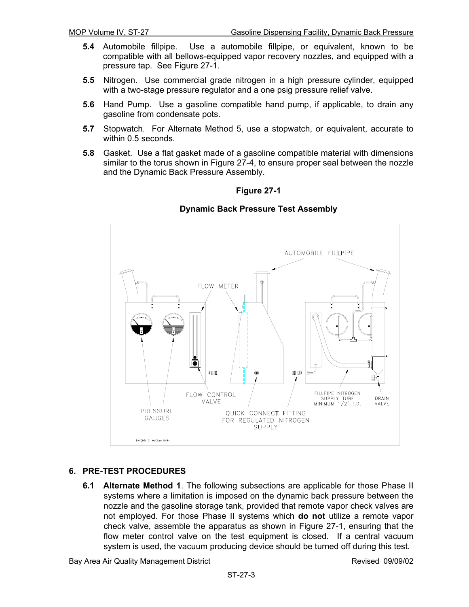- **5.4** Automobile fillpipe. Use a automobile fillpipe, or equivalent, known to be compatible with all bellows-equipped vapor recovery nozzles, and equipped with a pressure tap. See Figure 27-1.
- **5.5** Nitrogen. Use commercial grade nitrogen in a high pressure cylinder, equipped with a two-stage pressure regulator and a one psig pressure relief valve.
- **5.6** Hand Pump. Use a gasoline compatible hand pump, if applicable, to drain any gasoline from condensate pots.
- **5.7** Stopwatch. For Alternate Method 5, use a stopwatch, or equivalent, accurate to within 0.5 seconds.
- **5.8** Gasket. Use a flat gasket made of a gasoline compatible material with dimensions similar to the torus shown in Figure 27-4, to ensure proper seal between the nozzle and the Dynamic Back Pressure Assembly.



#### **Dynamic Back Pressure Test Assembly**

#### **6. PRE-TEST PROCEDURES**

**6.1 Alternate Method 1**. The following subsections are applicable for those Phase II systems where a limitation is imposed on the dynamic back pressure between the nozzle and the gasoline storage tank, provided that remote vapor check valves are not employed. For those Phase II systems which **do not** utilize a remote vapor check valve, assemble the apparatus as shown in Figure 27-1, ensuring that the flow meter control valve on the test equipment is closed. If a central vacuum system is used, the vacuum producing device should be turned off during this test.

Bay Area Air Quality Management District **Revised 09/09/02** Revised 09/09/02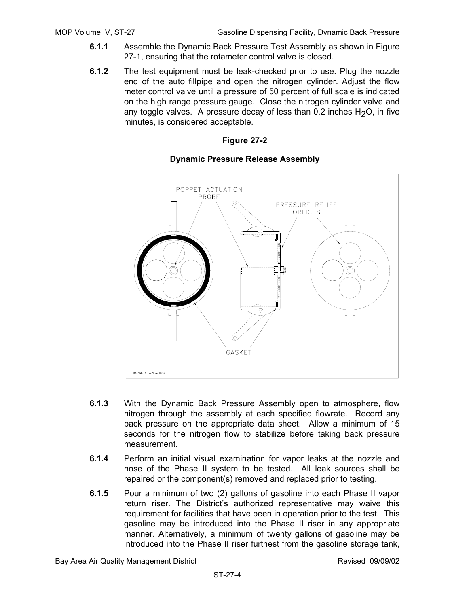- **6.1.1** Assemble the Dynamic Back Pressure Test Assembly as shown in Figure 27-1, ensuring that the rotameter control valve is closed.
- **6.1.2** The test equipment must be leak-checked prior to use. Plug the nozzle end of the auto fillpipe and open the nitrogen cylinder. Adjust the flow meter control valve until a pressure of 50 percent of full scale is indicated on the high range pressure gauge. Close the nitrogen cylinder valve and any toggle valves. A pressure decay of less than  $0.2$  inches  $H<sub>2</sub>O$ , in five minutes, is considered acceptable.



#### **Dynamic Pressure Release Assembly**

- **6.1.3** With the Dynamic Back Pressure Assembly open to atmosphere, flow nitrogen through the assembly at each specified flowrate. Record any back pressure on the appropriate data sheet. Allow a minimum of 15 seconds for the nitrogen flow to stabilize before taking back pressure measurement.
- **6.1.4** Perform an initial visual examination for vapor leaks at the nozzle and hose of the Phase II system to be tested. All leak sources shall be repaired or the component(s) removed and replaced prior to testing.
- **6.1.5** Pour a minimum of two (2) gallons of gasoline into each Phase II vapor return riser. The District's authorized representative may waive this requirement for facilities that have been in operation prior to the test. This gasoline may be introduced into the Phase II riser in any appropriate manner. Alternatively, a minimum of twenty gallons of gasoline may be introduced into the Phase II riser furthest from the gasoline storage tank,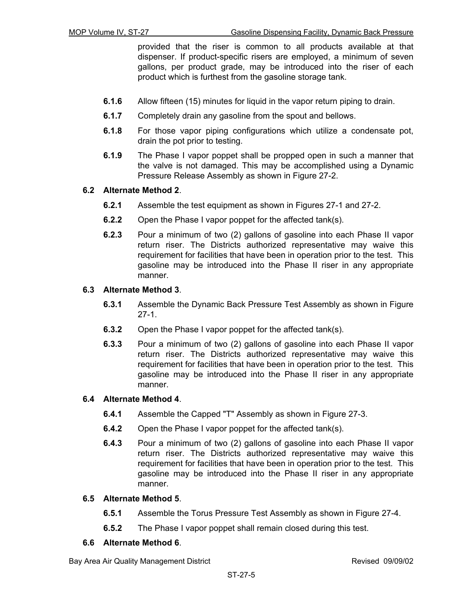provided that the riser is common to all products available at that dispenser. If product-specific risers are employed, a minimum of seven gallons, per product grade, may be introduced into the riser of each product which is furthest from the gasoline storage tank.

- **6.1.6** Allow fifteen (15) minutes for liquid in the vapor return piping to drain.
- **6.1.7** Completely drain any gasoline from the spout and bellows.
- **6.1.8** For those vapor piping configurations which utilize a condensate pot, drain the pot prior to testing.
- **6.1.9** The Phase I vapor poppet shall be propped open in such a manner that the valve is not damaged. This may be accomplished using a Dynamic Pressure Release Assembly as shown in Figure 27-2.

#### **6.2 Alternate Method 2**.

- **6.2.1** Assemble the test equipment as shown in Figures 27-1 and 27-2.
- **6.2.2** Open the Phase I vapor poppet for the affected tank(s).
- **6.2.3** Pour a minimum of two (2) gallons of gasoline into each Phase II vapor return riser. The Districts authorized representative may waive this requirement for facilities that have been in operation prior to the test. This gasoline may be introduced into the Phase II riser in any appropriate manner.

#### **6.3 Alternate Method 3**.

- **6.3.1** Assemble the Dynamic Back Pressure Test Assembly as shown in Figure 27-1.
- **6.3.2** Open the Phase I vapor poppet for the affected tank(s).
- **6.3.3** Pour a minimum of two (2) gallons of gasoline into each Phase II vapor return riser. The Districts authorized representative may waive this requirement for facilities that have been in operation prior to the test. This gasoline may be introduced into the Phase II riser in any appropriate manner.

#### **6.4 Alternate Method 4**.

- **6.4.1** Assemble the Capped "T" Assembly as shown in Figure 27-3.
- **6.4.2** Open the Phase I vapor poppet for the affected tank(s).
- **6.4.3** Pour a minimum of two (2) gallons of gasoline into each Phase II vapor return riser. The Districts authorized representative may waive this requirement for facilities that have been in operation prior to the test. This gasoline may be introduced into the Phase II riser in any appropriate manner.

#### **6.5 Alternate Method 5**.

- **6.5.1** Assemble the Torus Pressure Test Assembly as shown in Figure 27-4.
- **6.5.2** The Phase I vapor poppet shall remain closed during this test.

#### **6.6 Alternate Method 6**.

Bay Area Air Quality Management District **Revised 09/09/02** Revised 09/09/02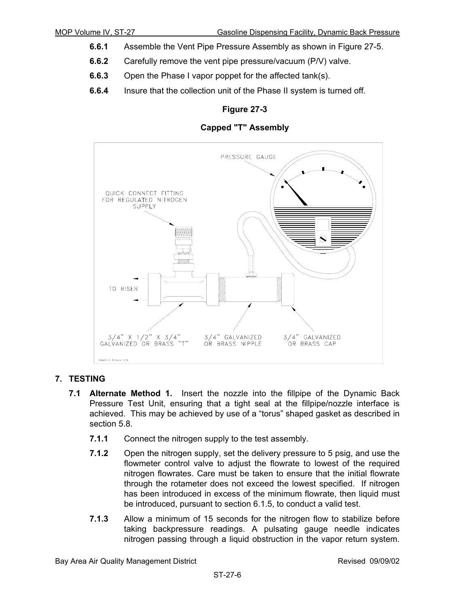- **6.6.1** Assemble the Vent Pipe Pressure Assembly as shown in Figure 27-5.
- **6.6.2** Carefully remove the vent pipe pressure/vacuum (P/V) valve.
- **6.6.3** Open the Phase I vapor poppet for the affected tank(s).
- **6.6.4** Insure that the collection unit of the Phase II system is turned off.





#### **7. TESTING**

- **7.1 Alternate Method 1.** Insert the nozzle into the fillpipe of the Dynamic Back Pressure Test Unit, ensuring that a tight seal at the fillpipe/nozzle interface is achieved. This may be achieved by use of a "torus" shaped gasket as described in section 5.8.
	- **7.1.1** Connect the nitrogen supply to the test assembly.
	- **7.1.2** Open the nitrogen supply, set the delivery pressure to 5 psig, and use the flowmeter control valve to adjust the flowrate to lowest of the required nitrogen flowrates. Care must be taken to ensure that the initial flowrate through the rotameter does not exceed the lowest specified. If nitrogen has been introduced in excess of the minimum flowrate, then liquid must be introduced, pursuant to section 6.1.5, to conduct a valid test.
	- **7.1.3** Allow a minimum of 15 seconds for the nitrogen flow to stabilize before taking backpressure readings. A pulsating gauge needle indicates nitrogen passing through a liquid obstruction in the vapor return system.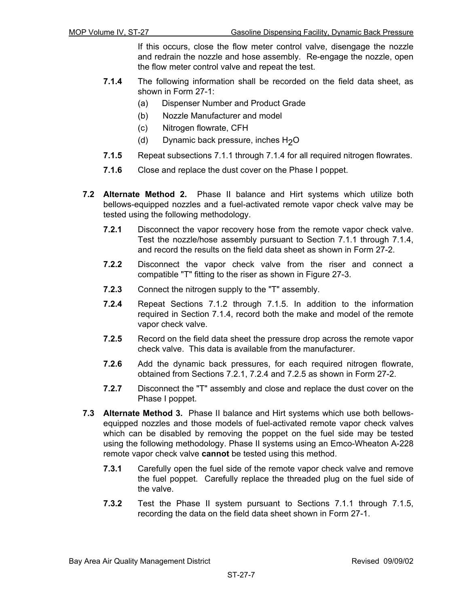If this occurs, close the flow meter control valve, disengage the nozzle and redrain the nozzle and hose assembly. Re-engage the nozzle, open the flow meter control valve and repeat the test.

- **7.1.4** The following information shall be recorded on the field data sheet, as shown in Form 27-1:
	- (a) Dispenser Number and Product Grade
	- (b) Nozzle Manufacturer and model
	- (c) Nitrogen flowrate, CFH
	- (d) Dynamic back pressure, inches  $H<sub>2</sub>O$
- **7.1.5** Repeat subsections 7.1.1 through 7.1.4 for all required nitrogen flowrates.
- **7.1.6** Close and replace the dust cover on the Phase I poppet.
- **7.2 Alternate Method 2.** Phase II balance and Hirt systems which utilize both bellows-equipped nozzles and a fuel-activated remote vapor check valve may be tested using the following methodology.
	- **7.2.1** Disconnect the vapor recovery hose from the remote vapor check valve. Test the nozzle/hose assembly pursuant to Section 7.1.1 through 7.1.4, and record the results on the field data sheet as shown in Form 27-2.
	- **7.2.2** Disconnect the vapor check valve from the riser and connect a compatible "T" fitting to the riser as shown in Figure 27-3.
	- **7.2.3** Connect the nitrogen supply to the "T" assembly.
	- **7.2.4** Repeat Sections 7.1.2 through 7.1.5. In addition to the information required in Section 7.1.4, record both the make and model of the remote vapor check valve.
	- **7.2.5** Record on the field data sheet the pressure drop across the remote vapor check valve. This data is available from the manufacturer.
	- **7.2.6** Add the dynamic back pressures, for each required nitrogen flowrate, obtained from Sections 7.2.1, 7.2.4 and 7.2.5 as shown in Form 27-2.
	- **7.2.7** Disconnect the "T" assembly and close and replace the dust cover on the Phase I poppet.
- **7.3 Alternate Method 3.** Phase II balance and Hirt systems which use both bellowsequipped nozzles and those models of fuel-activated remote vapor check valves which can be disabled by removing the poppet on the fuel side may be tested using the following methodology. Phase II systems using an Emco-Wheaton A-228 remote vapor check valve **cannot** be tested using this method.
	- **7.3.1** Carefully open the fuel side of the remote vapor check valve and remove the fuel poppet. Carefully replace the threaded plug on the fuel side of the valve.
	- **7.3.2** Test the Phase II system pursuant to Sections 7.1.1 through 7.1.5, recording the data on the field data sheet shown in Form 27-1.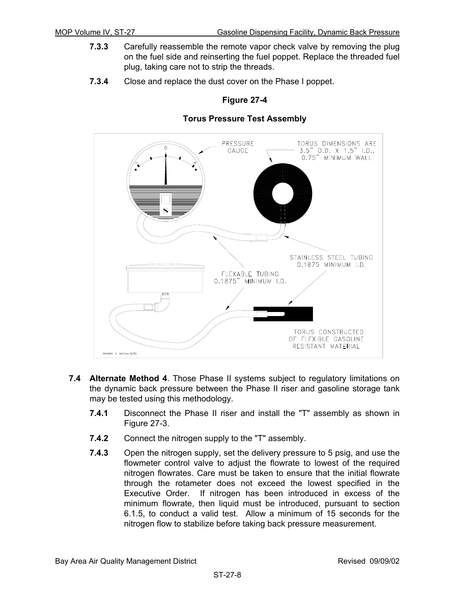- **7.3.3** Carefully reassemble the remote vapor check valve by removing the plug on the fuel side and reinserting the fuel poppet. Replace the threaded fuel plug, taking care not to strip the threads.
- **7.3.4** Close and replace the dust cover on the Phase I poppet.

#### **Torus Pressure Test Assembly**



- **7.4 Alternate Method 4**. Those Phase II systems subject to regulatory limitations on the dynamic back pressure between the Phase II riser and gasoline storage tank may be tested using this methodology.
	- **7.4.1** Disconnect the Phase II riser and install the "T" assembly as shown in Figure 27-3.
	- **7.4.2** Connect the nitrogen supply to the "T" assembly.
	- **7.4.3** Open the nitrogen supply, set the delivery pressure to 5 psig, and use the flowmeter control valve to adjust the flowrate to lowest of the required nitrogen flowrates. Care must be taken to ensure that the initial flowrate through the rotameter does not exceed the lowest specified in the Executive Order. If nitrogen has been introduced in excess of the minimum flowrate, then liquid must be introduced, pursuant to section 6.1.5, to conduct a valid test. Allow a minimum of 15 seconds for the nitrogen flow to stabilize before taking back pressure measurement.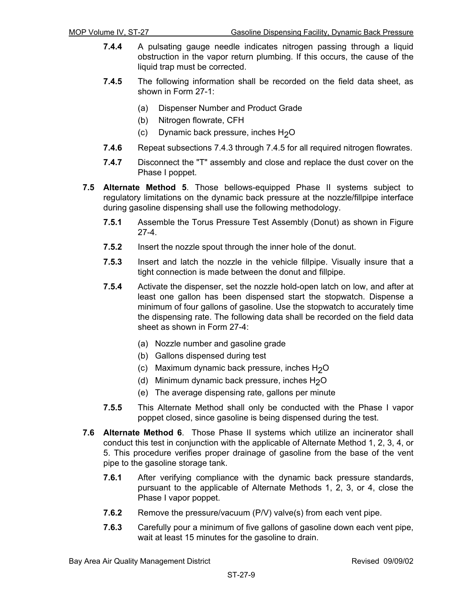- **7.4.4** A pulsating gauge needle indicates nitrogen passing through a liquid obstruction in the vapor return plumbing. If this occurs, the cause of the liquid trap must be corrected.
- **7.4.5** The following information shall be recorded on the field data sheet, as shown in Form 27-1:
	- (a) Dispenser Number and Product Grade
	- (b) Nitrogen flowrate, CFH
	- (c) Dynamic back pressure, inches  $H<sub>2</sub>O$
- **7.4.6** Repeat subsections 7.4.3 through 7.4.5 for all required nitrogen flowrates.
- **7.4.7** Disconnect the "T" assembly and close and replace the dust cover on the Phase I poppet.
- **7.5 Alternate Method 5**. Those bellows-equipped Phase II systems subject to regulatory limitations on the dynamic back pressure at the nozzle/fillpipe interface during gasoline dispensing shall use the following methodology.
	- **7.5.1** Assemble the Torus Pressure Test Assembly (Donut) as shown in Figure 27-4.
	- **7.5.2** Insert the nozzle spout through the inner hole of the donut.
	- **7.5.3** Insert and latch the nozzle in the vehicle fillpipe. Visually insure that a tight connection is made between the donut and fillpipe.
	- **7.5.4** Activate the dispenser, set the nozzle hold-open latch on low, and after at least one gallon has been dispensed start the stopwatch. Dispense a minimum of four gallons of gasoline. Use the stopwatch to accurately time the dispensing rate. The following data shall be recorded on the field data sheet as shown in Form 27-4:
		- (a) Nozzle number and gasoline grade
		- (b) Gallons dispensed during test
		- (c) Maximum dynamic back pressure, inches  $H_2O$
		- (d) Minimum dynamic back pressure, inches  $H_2O$
		- (e) The average dispensing rate, gallons per minute
	- **7.5.5** This Alternate Method shall only be conducted with the Phase I vapor poppet closed, since gasoline is being dispensed during the test.
- **7.6 Alternate Method 6**. Those Phase II systems which utilize an incinerator shall conduct this test in conjunction with the applicable of Alternate Method 1, 2, 3, 4, or 5. This procedure verifies proper drainage of gasoline from the base of the vent pipe to the gasoline storage tank.
	- **7.6.1** After verifying compliance with the dynamic back pressure standards, pursuant to the applicable of Alternate Methods 1, 2, 3, or 4, close the Phase I vapor poppet.
	- **7.6.2** Remove the pressure/vacuum (P/V) valve(s) from each vent pipe.
	- **7.6.3** Carefully pour a minimum of five gallons of gasoline down each vent pipe, wait at least 15 minutes for the gasoline to drain.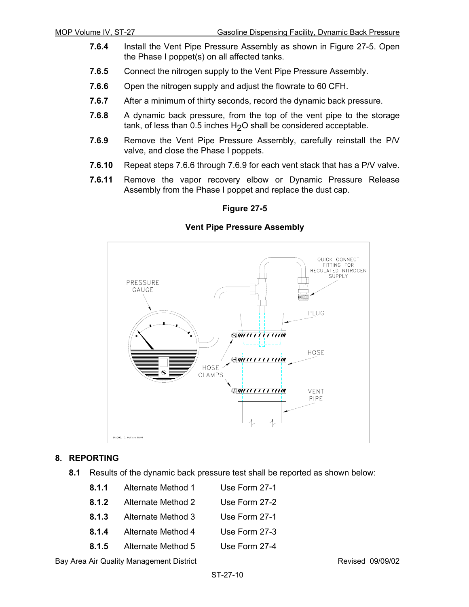- **7.6.4** Install the Vent Pipe Pressure Assembly as shown in Figure 27-5. Open the Phase I poppet(s) on all affected tanks.
- **7.6.5** Connect the nitrogen supply to the Vent Pipe Pressure Assembly.
- **7.6.6** Open the nitrogen supply and adjust the flowrate to 60 CFH.
- **7.6.7** After a minimum of thirty seconds, record the dynamic back pressure.
- **7.6.8** A dynamic back pressure, from the top of the vent pipe to the storage tank, of less than 0.5 inches  $H<sub>2</sub>O$  shall be considered acceptable.
- **7.6.9** Remove the Vent Pipe Pressure Assembly, carefully reinstall the P/V valve, and close the Phase I poppets.
- **7.6.10** Repeat steps 7.6.6 through 7.6.9 for each vent stack that has a P/V valve.
- **7.6.11** Remove the vapor recovery elbow or Dynamic Pressure Release Assembly from the Phase I poppet and replace the dust cap.

#### **Vent Pipe Pressure Assembly**



#### **8. REPORTING**

**8.1** Results of the dynamic back pressure test shall be reported as shown below:

|       | 8.1.1 Alternate Method 1 | Use Form 27-1 |
|-------|--------------------------|---------------|
| 8.1.2 | Alternate Method 2       | Use Form 27-2 |
| 8.1.3 | Alternate Method 3       | Use Form 27-1 |
| 8.1.4 | Alternate Method 4       | Use Form 27-3 |
| 8.1.5 | Alternate Method 5       | Use Form 27-4 |

Bay Area Air Quality Management District **Revised 09/09/02** Revised 09/09/02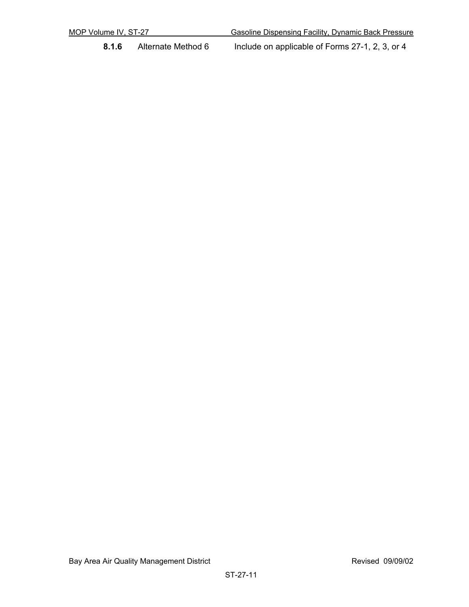**8.1.6** Alternate Method 6 Include on applicable of Forms 27-1, 2, 3, or 4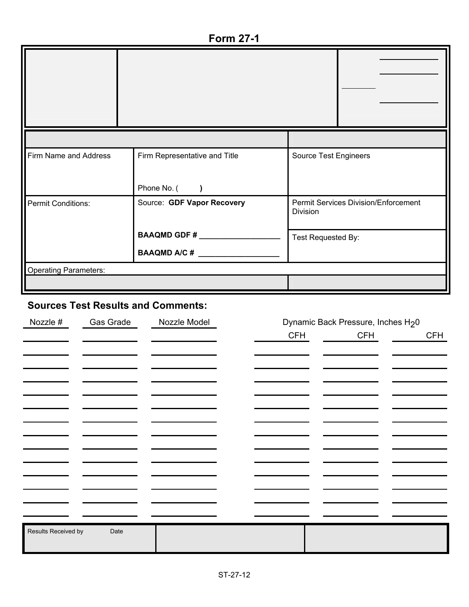**Form 27-1** 

| Firm Name and Address        | Firm Representative and Title | Source Test Engineers                                   |
|------------------------------|-------------------------------|---------------------------------------------------------|
|                              | Phone No. ()                  |                                                         |
| Permit Conditions:           | Source: GDF Vapor Recovery    | <b>Permit Services Division/Enforcement</b><br>Division |
|                              | <b>BAAQMD GDF #</b>           | Test Requested By:                                      |
|                              |                               |                                                         |
| <b>Operating Parameters:</b> |                               |                                                         |
|                              |                               |                                                         |

# **Sources Test Results and Comments:**

| Nozzle #            | Gas Grade | Nozzle Model | Dynamic Back Pressure, Inches H <sub>2</sub> 0 |            |            |
|---------------------|-----------|--------------|------------------------------------------------|------------|------------|
|                     |           |              | <b>CFH</b>                                     | <b>CFH</b> | <b>CFH</b> |
|                     |           |              |                                                |            |            |
|                     |           |              |                                                |            |            |
|                     |           |              |                                                |            |            |
|                     |           |              |                                                |            |            |
|                     |           |              |                                                |            |            |
|                     |           |              |                                                |            |            |
|                     |           |              |                                                |            |            |
|                     |           |              |                                                |            |            |
|                     |           |              |                                                |            |            |
|                     |           |              |                                                |            |            |
|                     |           |              |                                                |            |            |
|                     |           |              |                                                |            |            |
|                     |           |              |                                                |            |            |
| Results Received by | Date      |              |                                                |            |            |
|                     |           |              |                                                |            |            |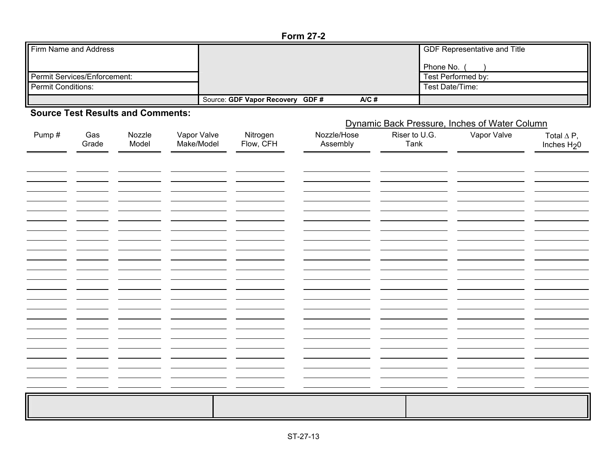#### **Form 27-2**

| <b>I</b> Firm Name and Address |                                             | <b>GDF Representative and Title</b> |
|--------------------------------|---------------------------------------------|-------------------------------------|
|                                |                                             | Phone No.                           |
| Permit Services/Enforcement:   |                                             | Test Performed by:                  |
| Permit Conditions:             |                                             | Test Date/Time:                     |
|                                | $A/C$ #<br>Source: GDF Vapor Recovery GDF # |                                     |

#### **Source Test Results and Comments:**

|       |              |                 |                           | Dynamic Back Pressure, Inches of Water Column |                         |                       |             |                                    |
|-------|--------------|-----------------|---------------------------|-----------------------------------------------|-------------------------|-----------------------|-------------|------------------------------------|
| Pump# | Gas<br>Grade | Nozzle<br>Model | Vapor Valve<br>Make/Model | Nitrogen<br>Flow, CFH                         | Nozzle/Hose<br>Assembly | Riser to U.G.<br>Tank | Vapor Valve | Total $\Delta P$ ,<br>Inches $H20$ |
|       |              |                 |                           |                                               |                         |                       |             |                                    |
|       |              |                 |                           |                                               |                         |                       |             |                                    |
|       |              |                 |                           |                                               |                         |                       |             |                                    |
|       |              |                 |                           |                                               |                         |                       |             |                                    |
|       |              |                 |                           |                                               |                         |                       |             |                                    |
|       |              |                 |                           |                                               |                         |                       |             |                                    |
|       |              |                 |                           |                                               |                         |                       |             |                                    |
|       |              |                 |                           |                                               |                         |                       |             |                                    |
|       |              |                 |                           |                                               |                         |                       |             |                                    |
|       |              |                 |                           |                                               |                         |                       |             |                                    |
|       |              |                 |                           |                                               |                         |                       |             |                                    |
|       |              |                 |                           |                                               |                         |                       |             |                                    |
|       |              |                 |                           |                                               |                         |                       |             |                                    |
|       |              |                 |                           |                                               |                         |                       |             |                                    |
|       |              |                 |                           |                                               |                         |                       |             |                                    |
|       |              |                 |                           |                                               |                         |                       |             |                                    |
|       |              |                 |                           |                                               |                         |                       |             |                                    |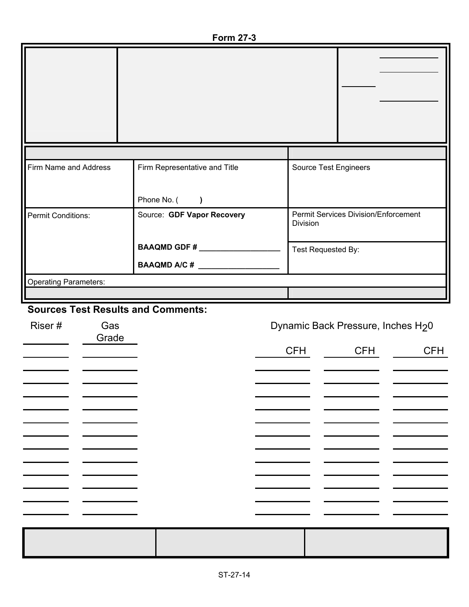**Form 27-3** 

| Firm Name and Address                     | Firm Representative and Title | Source Test Engineers                                                                                                                                                                                                                                                                                                                                                                |                                             |
|-------------------------------------------|-------------------------------|--------------------------------------------------------------------------------------------------------------------------------------------------------------------------------------------------------------------------------------------------------------------------------------------------------------------------------------------------------------------------------------|---------------------------------------------|
|                                           | Phone No. (<br>$\lambda$      |                                                                                                                                                                                                                                                                                                                                                                                      |                                             |
| <b>Permit Conditions:</b>                 | Source: GDF Vapor Recovery    | Division                                                                                                                                                                                                                                                                                                                                                                             | <b>Permit Services Division/Enforcement</b> |
|                                           | BAAQMD GDF #                  | Test Requested By:                                                                                                                                                                                                                                                                                                                                                                   |                                             |
|                                           | BAAQMD A/C #                  |                                                                                                                                                                                                                                                                                                                                                                                      |                                             |
| <b>Operating Parameters:</b>              |                               |                                                                                                                                                                                                                                                                                                                                                                                      |                                             |
|                                           |                               |                                                                                                                                                                                                                                                                                                                                                                                      |                                             |
| <b>Sources Test Results and Comments:</b> |                               |                                                                                                                                                                                                                                                                                                                                                                                      |                                             |
| Riser#<br>Gas<br>Grade                    |                               |                                                                                                                                                                                                                                                                                                                                                                                      | Dynamic Back Pressure, Inches H20           |
|                                           |                               | $\overline{C}$ $\overline{C}$ $\overline{C}$ $\overline{C}$ $\overline{C}$ $\overline{C}$ $\overline{C}$ $\overline{C}$ $\overline{C}$ $\overline{C}$ $\overline{C}$ $\overline{C}$ $\overline{C}$ $\overline{C}$ $\overline{C}$ $\overline{C}$ $\overline{C}$ $\overline{C}$ $\overline{C}$ $\overline{C}$ $\overline{C}$ $\overline{C}$ $\overline{C}$ $\overline{C}$ $\overline{$ | $\cap$ $\Box$<br>$\overline{C}$ $\Box$      |

|  | CFH | CFH | <b>CFH</b> |
|--|-----|-----|------------|
|  |     |     |            |
|  |     |     |            |
|  |     |     |            |
|  |     |     |            |
|  |     |     |            |
|  |     |     |            |
|  |     |     |            |
|  |     |     |            |
|  |     |     |            |
|  |     |     |            |
|  |     |     |            |
|  |     |     |            |
|  |     |     |            |
|  |     |     |            |
|  |     |     |            |
|  |     |     |            |
|  |     |     |            |